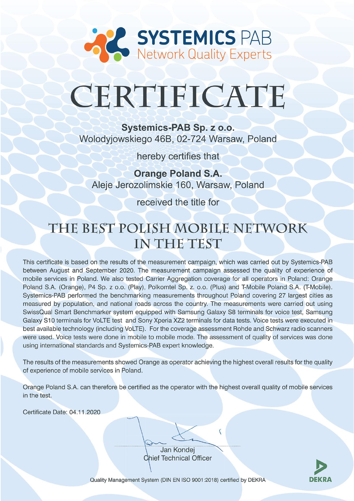

# CERTIFICATE

Systemics-PAB Sp. z o.o. Wolodyjowskiego 46B, 02-724 Warsaw, Poland

hereby certifies that

**Orange Poland S.A.** Aleie Jerozolimskie 160. Warsaw, Poland

received the title for

# THE BEST POLISH MOBILE NETWORK IN THE TEST

This certificate is based on the results of the measurement campaign, which was carried out by Systemics-PAB between August and September 2020. The measurement campaign assessed the quality of experience of mobile services in Poland. We also tested Carrier Aggregation coverage for all operators in Poland: Orange Poland S.A. (Orange), P4 Sp. z o.o. (Play), Polkomtel Sp. z. o.o. (Plus) and T-Mobile Poland S.A. (T-Mobile). Systemics-PAB performed the benchmarking measurements throughout Poland covering 27 largest cities as measured by population, and national roads across the country. The measurements were carried out using SwissQual Smart Benchmarker system equipped with Samsung Galaxy S8 terminals for voice test, Samsung Galaxy S10 terminals for VoLTE test and Sony Xperia XZ2 terminals for data tests. Voice tests were executed in best available technology (including VoLTE). For the coverage assessment Rohde and Schwarz radio scanners were used. Voice tests were done in mobile to mobile mode. The assessment of quality of services was done using international standards and Systemics-PAB expert knowledge.

The results of the measurements showed Orange as operator achieving the highest overall results for the quality of experience of mobile services in Poland.

Orange Poland S.A. can therefore be certified as the operator with the highest overall quality of mobile services in the test.

Certificate Date: 04.11.2020

Jan Kondej **Chief Technical Officer** 



Quality Management System (DIN EN ISO 9001:2018) certified by DEKRA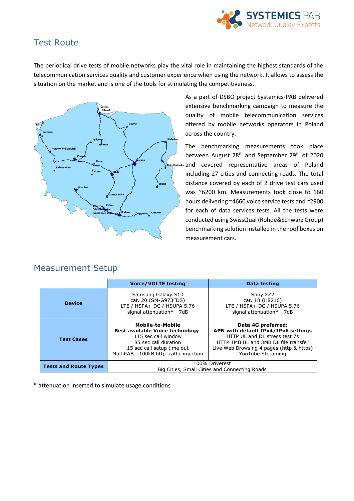

## Test Route

The periodical drive tests of mobile networks play the vital role in maintaining the highest standards of the telecommunication services quality and customer experience when using the network. It allows to assess the situation on the market and is one of the tools for stimulating the competitiveness.



As a part of DSBO project Systemics-PAB delivered extensive benchmarking campaign to measure the quality of mobile telecommunication services offered by mobile networks operators in Poland across the country.

The benchmarking measurements took place between August 28<sup>th</sup> and September 29<sup>th</sup> of 2020 and covered representative areas of Poland including 27 cities and connecting roads. The total distance covered by each of 2 drive test cars used was ~6200 km. Measurements took close to 160 hours delivering ~4660 voice service tests and ~2900 for each of data services tests. All the tests were conducted using SwissQual (Rohde&Schwarz Group) benchmarking solution installed in the roof boxes on measurement cars.

|                              | <b>Voice/VOLTE testing</b>                                                                                                                                                                 | Data testing                                                                                                                                                                                        |
|------------------------------|--------------------------------------------------------------------------------------------------------------------------------------------------------------------------------------------|-----------------------------------------------------------------------------------------------------------------------------------------------------------------------------------------------------|
| <b>Device</b>                | Samsung Galaxy S10<br>cat. 20 (SM-G973FDS)<br>LTE / HSPA+ DC / HSUPA 5.76<br>signal attenuation* - 7dB                                                                                     | Sony XZ2<br>cat. 18 (H8216)<br>LTE / HSPA+ DC / HSUPA 5.76<br>signal attenuation* - 7dB                                                                                                             |
| <b>Test Cases</b>            | <b>Mobile-to-Mobile</b><br><b>Best available Voice technology:</b><br>115 sec call window<br>85 sec call duration<br>15 sec call setup time out<br>MultiRAB - 100kB http traffic injection | Data 4G preferred:<br>APN with default IPv4/IPv6 settings<br>HTTP UL and DL stress test 7s<br>HTTP 1MB UL and 3MB DL file transfer<br>Live Web Browsing 4 pages (http & https)<br>YouTube Streaming |
| <b>Tests and Route Types</b> | 100% Drivetest<br>Big Cities, Small Cities and Connecting Roads                                                                                                                            |                                                                                                                                                                                                     |

#### Measurement Setup

\* attenuation inserted to simulate usage conditions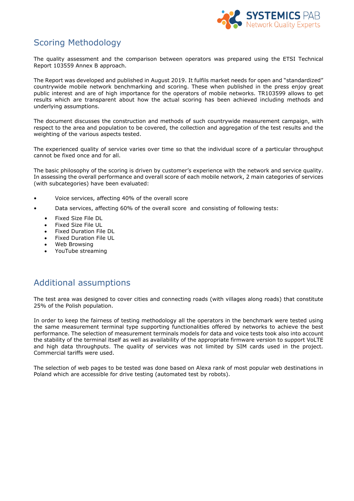

# Scoring Methodology

The quality assessment and the comparison between operators was prepared using the ETSI Technical Report 103559 Annex B approach.

The Report was developed and published in August 2019. It fulfils market needs for open and "standardized" countrywide mobile network benchmarking and scoring. These when published in the press enjoy great public interest and are of high importance for the operators of mobile networks. TR103599 allows to get results which are transparent about how the actual scoring has been achieved including methods and underlying assumptions.

The document discusses the construction and methods of such countrywide measurement campaign, with respect to the area and population to be covered, the collection and aggregation of the test results and the weighting of the various aspects tested.

The experienced quality of service varies over time so that the individual score of a particular throughput cannot be fixed once and for all.

The basic philosophy of the scoring is driven by customer's experience with the network and service quality. In assessing the overall performance and overall score of each mobile network, 2 main categories of services (with subcategories) have been evaluated:

- Voice services, affecting 40% of the overall score
- Data services, affecting 60% of the overall score and consisting of following tests:
	- Fixed Size File DL
	- Fixed Size File UL
	- Fixed Duration File DL
	- Fixed Duration File UL
	- Web Browsing
	- YouTube streaming

#### Additional assumptions

The test area was designed to cover cities and connecting roads (with villages along roads) that constitute 25% of the Polish population.

In order to keep the fairness of testing methodology all the operators in the benchmark were tested using the same measurement terminal type supporting functionalities offered by networks to achieve the best performance. The selection of measurement terminals models for data and voice tests took also into account the stability of the terminal itself as well as availability of the appropriate firmware version to support VoLTE and high data throughputs. The quality of services was not limited by SIM cards used in the project. Commercial tariffs were used.

The selection of web pages to be tested was done based on Alexa rank of most popular web destinations in Poland which are accessible for drive testing (automated test by robots).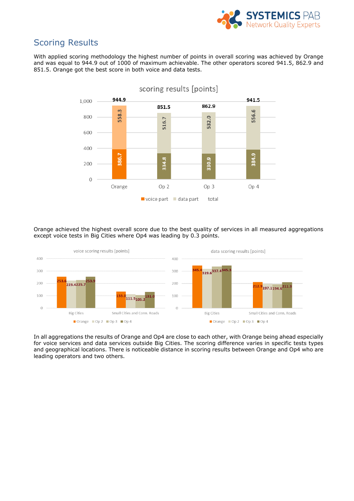

### Scoring Results

With applied scoring methodology the highest number of points in overall scoring was achieved by Orange and was equal to 944.9 out of 1000 of maximum achievable. The other operators scored 941.5, 862.9 and 851.5. Orange got the best score in both voice and data tests.



Orange achieved the highest overall score due to the best quality of services in all measured aggregations except voice tests in Big Cities where Op4 was leading by 0.3 points.



In all aggregations the results of Orange and Op4 are close to each other, with Orange being ahead especially for voice services and data services outside Big Cities. The scoring difference varies in specific tests types and geographical locations. There is noticeable distance in scoring results between Orange and Op4 who are leading operators and two others.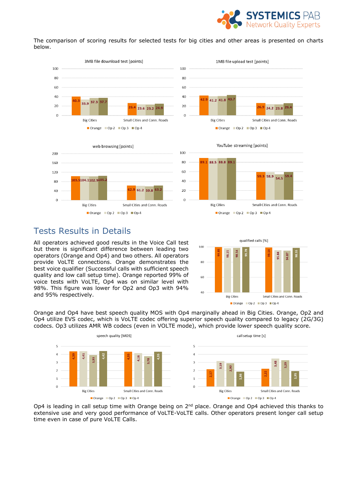

The comparison of scoring results for selected tests for big cities and other areas is presented on charts below.











#### Tests Results in Details

All operators achieved good results in the Voice Call test but there is significant difference between leading two operators (Orange and Op4) and two others. All operators provide VoLTE connections. Orange demonstrates the best voice qualifier (Successful calls with sufficient speech quality and low call setup time). Orange reported 99% of voice tests with VoLTE, Op4 was on similar level with 98%. This figure was lower for Op2 and Op3 with 94% and 95% respectively.



Orange and Op4 have best speech quality MOS with Op4 marginally ahead in Big Cities. Orange, Op2 and Op4 utilize EVS codec, which is VoLTE codec offering superior speech quality compared to legacy (2G/3G) codecs. Op3 utilizes AMR WB codecs (even in VOLTE mode), which provide lower speech quality score.



Op4 is leading in call setup time with Orange being on 2<sup>nd</sup> place. Orange and Op4 achieved this thanks to extensive use and very good performance of VoLTE-VoLTE calls. Other operators present longer call setup time even in case of pure VoLTE Calls.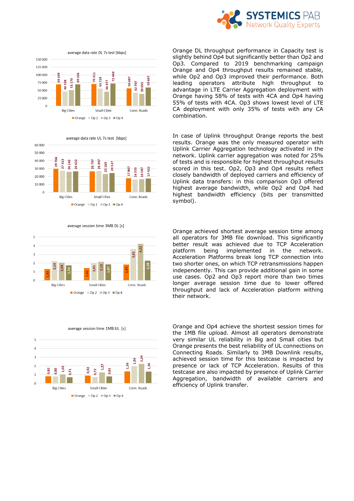













average session time 1MB UL [s]

Orange DL throughput performance in Capacity test is slightly behind Op4 but significantly better than Op2 and Op3. Compared to 2019 benchmarking campaign Orange and Op4 throughput results remained stable, while Op2 and Op3 improved their performance. Both leading operators attribute high throughput to advantage in LTE Carrier Aggregation deployment with Orange having 58% of tests with 4CA and Op4 having 55% of tests with 4CA. Op3 shows lowest level of LTE CA deployment with only 35% of tests with any CA combination.

In case of Uplink throughput Orange reports the best results. Orange was the only measured operator with Uplink Carrier Aggregation technology activated in the network. Uplink carrier aggregation was noted for 25% of tests and is responsible for highest throughput results scored in this test. Op2, Op3 and Op4 results reflect closely bandwidth of deployed carriers and efficiency of Uplink data transfers: in this comparison Op3 offered highest average bandwidth, while Op2 and Op4 had highest bandwidth efficiency (bits per transmitted symbol).

Orange achieved shortest average session time among all operators for 3MB file download. This significantly better result was achieved due to TCP Acceleration platform being implemented in the network. Acceleration Platforms break long TCP connection into two shorter ones, on which TCP retransmissions happen independently. This can provide additional gain in some use cases. Op2 and Op3 report more than two times longer average session time due to lower offered throughput and lack of Acceleration platform withing their network.

Orange and Op4 achieve the shortest session times for the 1MB file upload. Almost all operators demonstrate very similar UL reliability in Big and Small cities but Orange presents the best reliability of UL connections on Connecting Roads. Similarly to 3MB Downlink results, achieved session time for this testcase is impacted by presence or lack of TCP Acceleration. Results of this testcase are also impacted by presence of Uplink Carrier Aggregation, bandwidth of available carriers and efficiency of Uplink transfer.